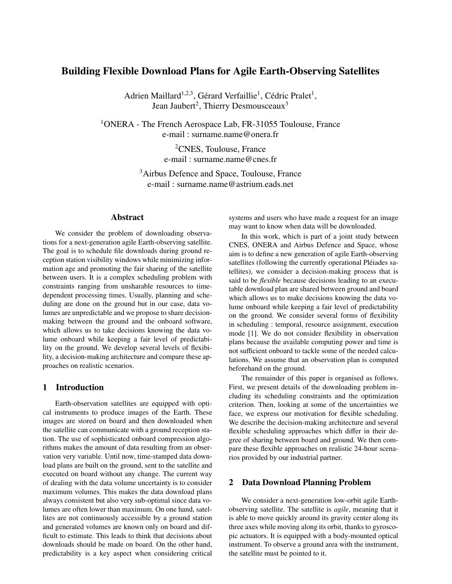# Building Flexible Download Plans for Agile Earth-Observing Satellites

Adrien Maillard<sup>1,2,3</sup>, Gérard Verfaillie<sup>1</sup>, Cédric Pralet<sup>1</sup>, Jean Jaubert<sup>2</sup>, Thierry Desmousceaux<sup>3</sup>

<sup>1</sup>ONERA - The French Aerospace Lab, FR-31055 Toulouse, France e-mail : surname.name@onera.fr

> <sup>2</sup>CNES, Toulouse, France e-mail : surname.name@cnes.fr

<sup>3</sup>Airbus Defence and Space, Toulouse, France e-mail : surname.name@astrium.eads.net

### Abstract

We consider the problem of downloading observations for a next-generation agile Earth-observing satellite. The goal is to schedule file downloads during ground reception station visibility windows while minimizing information age and promoting the fair sharing of the satellite between users. It is a complex scheduling problem with constraints ranging from unsharable resources to timedependent processing times. Usually, planning and scheduling are done on the ground but in our case, data volumes are unpredictable and we propose to share decisionmaking between the ground and the onboard software, which allows us to take decisions knowing the data volume onboard while keeping a fair level of predictability on the ground. We develop several levels of flexibility, a decision-making architecture and compare these approaches on realistic scenarios.

### 1 Introduction

Earth-observation satellites are equipped with optical instruments to produce images of the Earth. These images are stored on board and then downloaded when the satellite can communicate with a ground reception station. The use of sophisticated onboard compression algorithms makes the amount of data resulting from an observation very variable. Until now, time-stamped data download plans are built on the ground, sent to the satellite and executed on board without any change. The current way of dealing with the data volume uncertainty is to consider maximum volumes. This makes the data download plans always consistent but also very sub-optimal since data volumes are often lower than maximum. On one hand, satellites are not continuously accessible by a ground station and generated volumes are known only on board and difficult to estimate. This leads to think that decisions about downloads should be made on board. On the other hand, predictability is a key aspect when considering critical systems and users who have made a request for an image may want to know when data will be downloaded.

In this work, which is part of a joint study between CNES, ONERA and Airbus Defence and Space, whose aim is to define a new generation of agile Earth-observing satellites (following the currently operational Pléiades satellites), we consider a decision-making process that is said to be *flexible* because decisions leading to an executable download plan are shared between ground and board which allows us to make decisions knowing the data volume onboard while keeping a fair level of predictability on the ground. We consider several forms of flexibility in scheduling : temporal, resource assignment, execution mode [1]. We do not consider flexibility in observation plans because the available computing power and time is not sufficient onboard to tackle some of the needed calculations. We assume that an observation plan is computed beforehand on the ground.

The remainder of this paper is organised as follows. First, we present details of the downloading problem including its scheduling constraints and the optimization criterion. Then, looking at some of the uncertainties we face, we express our motivation for flexible scheduling. We describe the decision-making architecture and several flexible scheduling approaches which differ in their degree of sharing between board and ground. We then compare these flexible approaches on realistic 24-hour scenarios provided by our industrial partner.

### 2 Data Download Planning Problem

We consider a next-generation low-orbit agile Earthobserving satellite. The satellite is *agile*, meaning that it is able to move quickly around its gravity center along its three axes while moving along its orbit, thanks to gyroscopic actuators. It is equipped with a body-mounted optical instrument. To observe a ground area with the instrument, the satellite must be pointed to it.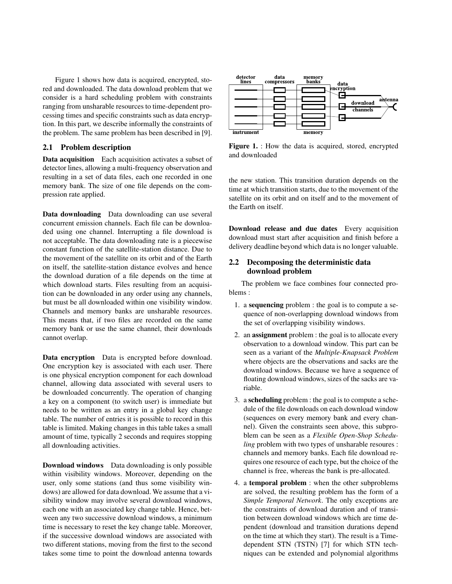Figure 1 shows how data is acquired, encrypted, stored and downloaded. The data download problem that we consider is a hard scheduling problem with constraints ranging from unsharable resources to time-dependent processing times and specific constraints such as data encryption. In this part, we describe informally the constraints of the problem. The same problem has been described in [9].

### 2.1 Problem description

Data acquisition Each acquisition activates a subset of detector lines, allowing a multi-frequency observation and resulting in a set of data files, each one recorded in one memory bank. The size of one file depends on the compression rate applied.

Data downloading Data downloading can use several concurrent emission channels. Each file can be downloaded using one channel. Interrupting a file download is not acceptable. The data downloading rate is a piecewise constant function of the satellite-station distance. Due to the movement of the satellite on its orbit and of the Earth on itself, the satellite-station distance evolves and hence the download duration of a file depends on the time at which download starts. Files resulting from an acquisition can be downloaded in any order using any channels, but must be all downloaded within one visibility window. Channels and memory banks are unsharable resources. This means that, if two files are recorded on the same memory bank or use the same channel, their downloads cannot overlap.

Data encryption Data is encrypted before download. One encryption key is associated with each user. There is one physical encryption component for each download channel, allowing data associated with several users to be downloaded concurrently. The operation of changing a key on a component (to switch user) is immediate but needs to be written as an entry in a global key change table. The number of entries it is possible to record in this table is limited. Making changes in this table takes a small amount of time, typically 2 seconds and requires stopping all downloading activities.

Download windows Data downloading is only possible within visibility windows. Moreover, depending on the user, only some stations (and thus some visibility windows) are allowed for data download. We assume that a visibility window may involve several download windows, each one with an associated key change table. Hence, between any two successive download windows, a minimum time is necessary to reset the key change table. Moreover, if the successive download windows are associated with two different stations, moving from the first to the second takes some time to point the download antenna towards



Figure 1. : How the data is acquired, stored, encrypted and downloaded

the new station. This transition duration depends on the time at which transition starts, due to the movement of the satellite on its orbit and on itself and to the movement of the Earth on itself.

Download release and due dates Every acquisition download must start after acquisition and finish before a delivery deadline beyond which data is no longer valuable.

# 2.2 Decomposing the deterministic data download problem

The problem we face combines four connected problems :

- 1. a sequencing problem : the goal is to compute a sequence of non-overlapping download windows from the set of overlapping visibility windows.
- 2. an assignment problem : the goal is to allocate every observation to a download window. This part can be seen as a variant of the *Multiple-Knapsack Problem* where objects are the observations and sacks are the download windows. Because we have a sequence of floating download windows, sizes of the sacks are variable.
- 3. a scheduling problem : the goal is to compute a schedule of the file downloads on each download window (sequences on every memory bank and every channel). Given the constraints seen above, this subproblem can be seen as a *Flexible Open-Shop Scheduling* problem with two types of unsharable resoures : channels and memory banks. Each file download requires one resource of each type, but the choice of the channel is free, whereas the bank is pre-allocated.
- 4. a temporal problem : when the other subproblems are solved, the resulting problem has the form of a *Simple Temporal Network*. The only exceptions are the constraints of download duration and of transition between download windows which are time dependent (download and transition durations depend on the time at which they start). The result is a Timedependent STN (TSTN) [7] for which STN techniques can be extended and polynomial algorithms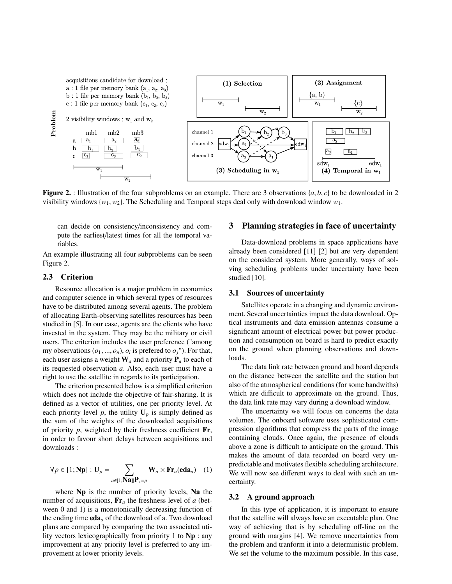

**Figure 2.** : Illustration of the four subproblems on an example. There are 3 observations  $\{a, b, c\}$  to be downloaded in 2 visibility windows  $\{w_1, w_2\}$ . The Scheduling and Temporal steps deal only with download window  $w_1$ .

can decide on consistency/inconsistency and compute the earliest/latest times for all the temporal variables.

An example illustrating all four subproblems can be seen Figure 2.

### 2.3 Criterion

Resource allocation is a major problem in economics and computer science in which several types of resources have to be distributed among several agents. The problem of allocating Earth-observing satellites resources has been studied in [5]. In our case, agents are the clients who have invested in the system. They may be the military or civil users. The criterion includes the user preference ("among my observations  $(o_1, ..., o_n)$ ,  $o_i$  is prefered to  $o_j$ "). For that,<br>each user assigns a weight **W** and a priority **P** to each of each user assigns a weight  $W_a$  and a priority  $P_a$  to each of its requested observation *a*. Also, each user must have a right to use the satellite in regards to its participation.

The criterion presented below is a simplified criterion which does not include the objective of fair-sharing. It is defined as a vector of utilities, one per priority level. At each priority level  $p$ , the utility  $U_p$  is simply defined as the sum of the weights of the downloaded acquisitions of priority *p*, weighted by their freshness coefficient Fr, in order to favour short delays between acquisitions and downloads :

$$
\forall p \in [1; \mathbf{Np}] : \mathbf{U}_p = \sum_{a \in [1; \mathbf{N}\mathbf{a}]} \mathbf{W}_a \times \mathbf{Fr}_a(\mathbf{eda}_a) \quad (1)
$$

where Np is the number of priority levels, Na the number of acquisitions, Fr*<sup>a</sup>* the freshness level of *a* (between 0 and 1) is a monotonically decreasing function of the ending time  $eda_a$  of the download of a. Two download plans are compared by comparing the two associated utility vectors lexicographically from priority 1 to Np : any improvement at any priority level is preferred to any improvement at lower priority levels.

### 3 Planning strategies in face of uncertainty

Data-download problems in space applications have already been considered [11] [2] but are very dependent on the considered system. More generally, ways of solving scheduling problems under uncertainty have been studied [10].

### 3.1 Sources of uncertainty

Satellites operate in a changing and dynamic environment. Several uncertainties impact the data download. Optical instruments and data emission antennas consume a significant amount of electrical power but power production and consumption on board is hard to predict exactly on the ground when planning observations and downloads.

The data link rate between ground and board depends on the distance between the satellite and the station but also of the atmospherical conditions (for some bandwiths) which are difficult to approximate on the ground. Thus, the data link rate may vary during a download window.

The uncertainty we will focus on concerns the data volumes. The onboard software uses sophisticated compression algorithms that compress the parts of the image containing clouds. Once again, the presence of clouds above a zone is difficult to anticipate on the ground. This makes the amount of data recorded on board very unpredictable and motivates flexible scheduling architecture. We will now see different ways to deal with such an uncertainty.

#### 3.2 A ground approach

In this type of application, it is important to ensure that the satellite will always have an executable plan. One way of achieving that is by scheduling off-line on the ground with margins [4]. We remove uncertainties from the problem and tranform it into a deterministic problem. We set the volume to the maximum possible. In this case,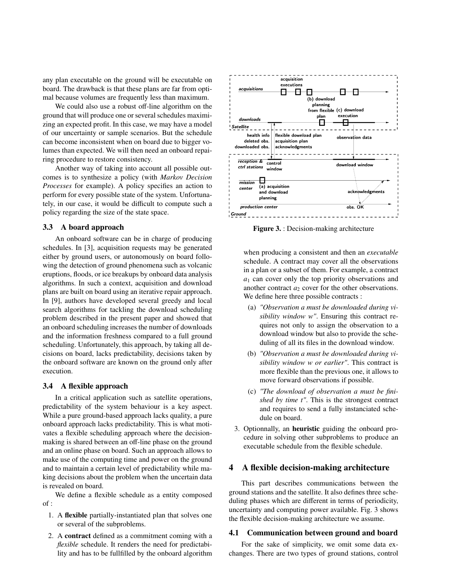any plan executable on the ground will be executable on board. The drawback is that these plans are far from optimal because volumes are frequently less than maximum.

We could also use a robust off-line algorithm on the ground that will produce one or several schedules maximizing an expected profit. In this case, we may have a model of our uncertainty or sample scenarios. But the schedule can become inconsistent when on board due to bigger volumes than expected. We will then need an onboard repairing procedure to restore consistency.

Another way of taking into account all possible outcomes is to synthesize a policy (with *Markov Decision Processes* for example). A policy specifies an action to perform for every possible state of the system. Unfortunately, in our case, it would be difficult to compute such a policy regarding the size of the state space.

#### 3.3 A board approach

An onboard software can be in charge of producing schedules. In [3], acquisition requests may be generated either by ground users, or autonomously on board following the detection of ground phenomena such as volcanic eruptions, floods, or ice breakups by onboard data analysis algorithms. In such a context, acquisition and download plans are built on board using an iterative repair approach. In [9], authors have developed several greedy and local search algorithms for tackling the download scheduling problem described in the present paper and showed that an onboard scheduling increases the number of downloads and the information freshness compared to a full ground scheduling. Unfortunately, this approach, by taking all decisions on board, lacks predictability, decisions taken by the onboard software are known on the ground only after execution.

# 3.4 A flexible approach

In a critical application such as satellite operations, predictability of the system behaviour is a key aspect. While a pure ground-based approach lacks quality, a pure onboard approach lacks predictability. This is what motivates a flexible scheduling approach where the decisionmaking is shared between an off-line phase on the ground and an online phase on board. Such an approach allows to make use of the computing time and power on the ground and to maintain a certain level of predictability while making decisions about the problem when the uncertain data is revealed on board.

We define a flexible schedule as a entity composed of :

- 1. A flexible partially-instantiated plan that solves one or several of the subproblems.
- 2. A contract defined as a commitment coming with a *flexible* schedule. It renders the need for predictability and has to be fullfilled by the onboard algorithm



Figure 3. : Decision-making architecture

when producing a consistent and then an *executable* schedule. A contract may cover all the observations in a plan or a subset of them. For example, a contract *a*<sup>1</sup> can cover only the top priority observations and another contract  $a_2$  cover for the other observations. We define here three possible contracts :

- (a) *"Observation a must be downloaded during visibility window w"*. Ensuring this contract requires not only to assign the observation to a download window but also to provide the scheduling of all its files in the download window.
- (b) *"Observation a must be downloaded during visibility window w or earlier"*. This contract is more flexible than the previous one, it allows to move forward observations if possible.
- (c) *"The download of observation a must be finished by time t"*. This is the strongest contract and requires to send a fully instanciated schedule on board.
- 3. Optionnally, an heuristic guiding the onboard procedure in solving other subproblems to produce an executable schedule from the flexible schedule.

# 4 A flexible decision-making architecture

This part describes communications between the ground stations and the satellite. It also defines three scheduling phases which are different in terms of periodicity, uncertainty and computing power available. Fig. 3 shows the flexible decision-making architecture we assume.

#### 4.1 Communication between ground and board

For the sake of simplicity, we omit some data exchanges. There are two types of ground stations, control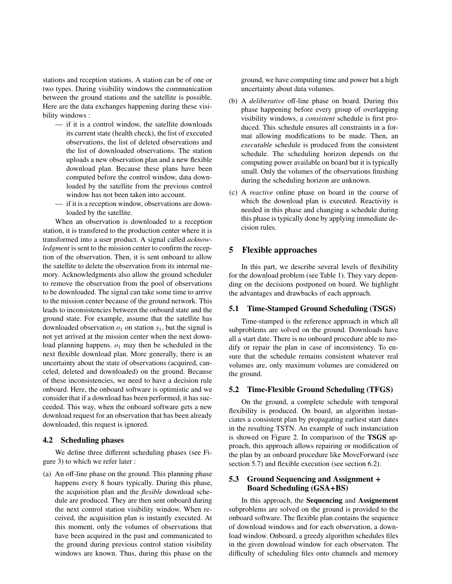stations and reception stations. A station can be of one or two types. During visibility windows the communication between the ground stations and the satellite is possible. Here are the data exchanges happening during these visibility windows :

- if it is a control window, the satellite downloads its current state (health check), the list of executed observations, the list of deleted observations and the list of downloaded observations. The station uploads a new observation plan and a new flexible download plan. Because these plans have been computed before the control window, data downloaded by the satellite from the previous control window has not been taken into account.
- if it is a reception window, observations are downloaded by the satellite.

When an observation is downloaded to a reception station, it is transfered to the production center where it is transformed into a user product. A signal called *acknowledgment* is sent to the mission center to confirm the reception of the observation. Then, it is sent onboard to allow the satellite to delete the observation from its internal memory. Acknowledgments also allow the ground scheduler to remove the observation from the pool of observations to be downloaded. The signal can take some time to arrive to the mission center because of the ground network. This leads to inconsistencies between the onboard state and the ground state. For example, assume that the satellite has downloaded observation  $o_1$  on station  $s_1$ , but the signal is not yet arrived at the mission center when the next download planning happens.  $o_1$  may then be scheduled in the next flexible download plan. More generally, there is an uncertainty about the state of observations (acquired, canceled, deleted and downloaded) on the ground. Because of these inconsistencies, we need to have a decision rule onboard. Here, the onboard software is optimistic and we consider that if a download has been performed, it has succeeded. This way, when the onboard software gets a new download request for an observation that has been already downloaded, this request is ignored.

#### 4.2 Scheduling phases

We define three different scheduling phases (see Figure 3) to which we refer later :

(a) An off-line phase on the ground. This planning phase happens every 8 hours typically. During this phase, the acquisition plan and the *flexible* download schedule are produced. They are then sent onboard during the next control station visibility window. When received, the acquisition plan is instantly executed. At this moment, only the volumes of observations that have been acquired in the past and communicated to the ground during previous control station visibility windows are known. Thus, during this phase on the ground, we have computing time and power but a high uncertainty about data volumes.

- (b) A *deliberative* off-line phase on board. During this phase happening before every group of overlapping visibility windows, a *consistent* schedule is first produced. This schedule ensures all constraints in a format allowing modifications to be made. Then, an *executable* schedule is produced from the consistent schedule. The scheduling horizon depends on the computing power available on board but it is typically small. Only the volumes of the observations finishing during the scheduling horizon are unknown.
- (c) A *reactive* online phase on board in the course of which the download plan is executed. Reactivity is needed in this phase and changing a schedule during this phase is typically done by applying immediate decision rules.

### 5 Flexible approaches

In this part, we describe several levels of flexibility for the download problem (see Table 1). They vary depending on the decisions postponed on board. We highlight the advantages and drawbacks of each approach.

### 5.1 Time-Stamped Ground Scheduling (TSGS)

Time-stamped is the reference approach in which all subproblems are solved on the ground. Downloads have all a start date. There is no onboard procedure able to modify or repair the plan in case of inconsistency. To ensure that the schedule remains consistent whatever real volumes are, only maximum volumes are considered on the ground.

### 5.2 Time-Flexible Ground Scheduling (TFGS)

On the ground, a complete schedule with temporal flexibility is produced. On board, an algorithm instanciates a consistent plan by propagating earliest start dates in the resulting TSTN. An example of such instanciation is showed on Figure 2. In comparison of the TSGS approach, this approach allows repairing or modification of the plan by an onboard procedure like MoveForward (see section 5.7) and flexible execution (see section 6.2).

# 5.3 Ground Sequencing and Assignment + Board Scheduling (GSA+BS)

In this approach, the Sequencing and Assignement subproblems are solved on the ground is provided to the onboard software. The flexible plan contains the sequence of download windows and for each observation, a download window. Onboard, a greedy algorithm schedules files in the given download window for each observaton. The difficulty of scheduling files onto channels and memory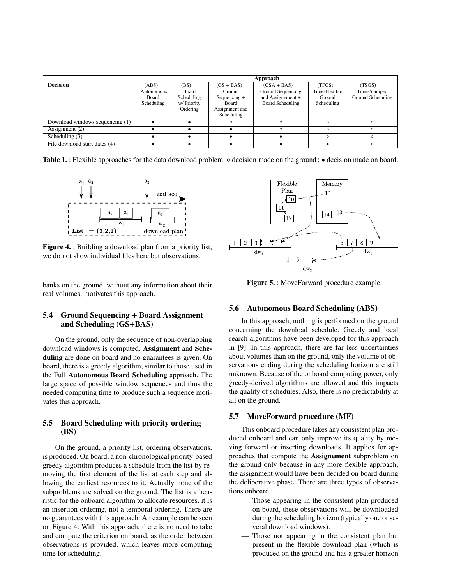|                                 | Approach                          |                                                |                                                                   |                                                            |                                       |                                   |  |  |
|---------------------------------|-----------------------------------|------------------------------------------------|-------------------------------------------------------------------|------------------------------------------------------------|---------------------------------------|-----------------------------------|--|--|
| <b>Decision</b>                 | (ABS)                             | (BS)                                           | $(GS + BAS)$                                                      | $(GSA + BAS)$                                              | (TFGS)                                | (TSGS)                            |  |  |
|                                 | Autonomous<br>Board<br>Scheduling | Board<br>Scheduling<br>w/ Priority<br>Ordering | Ground<br>$Sequencing +$<br>Board<br>Assignment and<br>Scheduling | Ground Sequencing<br>and Assignement +<br>Board Scheduling | Time-Flexible<br>Ground<br>Scheduling | Time-Stamped<br>Ground Scheduling |  |  |
| Download windows sequencing (1) |                                   |                                                | O                                                                 | O                                                          | $\Omega$                              |                                   |  |  |
| Assignment (2)                  |                                   |                                                |                                                                   | $\Omega$                                                   | $\Omega$                              | $\cap$                            |  |  |
| Scheduling $(3)$                |                                   |                                                |                                                                   |                                                            | $\circ$                               | C                                 |  |  |
| File download start dates (4)   |                                   |                                                |                                                                   |                                                            |                                       |                                   |  |  |

Table 1. : Flexible approaches for the data download problem. ◦ decision made on the ground ; • decision made on board.



Figure 4. : Building a download plan from a priority list, we do not show individual files here but observations.

banks on the ground, without any information about their real volumes, motivates this approach.

### 5.4 Ground Sequencing + Board Assignment and Scheduling (GS+BAS)

On the ground, only the sequence of non-overlapping download windows is computed. Assignment and Scheduling are done on board and no guarantees is given. On board, there is a greedy algorithm, similar to those used in the Full Autonomous Board Scheduling approach. The large space of possible window sequences and thus the needed computing time to produce such a sequence motivates this approach.

### 5.5 Board Scheduling with priority ordering (BS)

On the ground, a priority list, ordering observations, is produced. On board, a non-chronological priority-based greedy algorithm produces a schedule from the list by removing the first element of the list at each step and allowing the earliest resources to it. Actually none of the subproblems are solved on the ground. The list is a heuristic for the onboard algorithm to allocate resources, it is an insertion ordering, not a temporal ordering. There are no guarantees with this approach. An example can be seen on Figure 4. With this approach, there is no need to take and compute the criterion on board, as the order between observations is provided, which leaves more computing time for scheduling.



Figure 5. : MoveForward procedure example

### 5.6 Autonomous Board Scheduling (ABS)

In this approach, nothing is performed on the ground concerning the download schedule. Greedy and local search algorithms have been developed for this approach in [9]. In this approach, there are far less uncertainties about volumes than on the ground, only the volume of observations ending during the scheduling horizon are still unknown. Because of the onboard computing power, only greedy-derived algorithms are allowed and this impacts the quality of schedules. Also, there is no predictability at all on the ground.

### 5.7 MoveForward procedure (MF)

This onboard procedure takes any consistent plan produced onboard and can only improve its quality by moving forward or inserting downloads. It applies for approaches that compute the Assignement subproblem on the ground only because in any more flexible approach, the assignment would have been decided on board during the deliberative phase. There are three types of observations onboard :

- Those appearing in the consistent plan produced on board, these observations will be downloaded during the scheduling horizon (typically one or several download windows).
- Those not appearing in the consistent plan but present in the flexible download plan (which is produced on the ground and has a greater horizon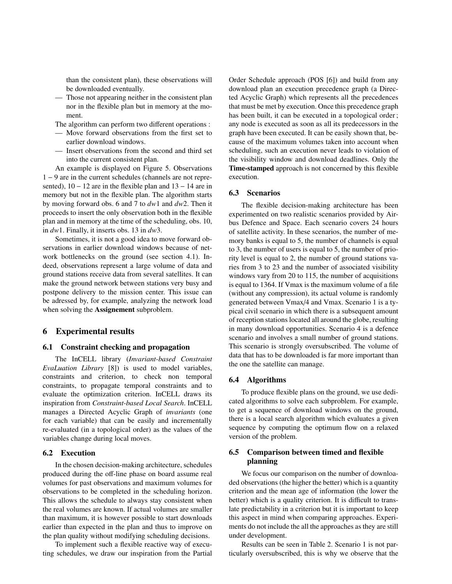than the consistent plan), these observations will be downloaded eventually.

— Those not appearing neither in the consistent plan nor in the flexible plan but in memory at the moment.

The algorithm can perform two different operations :

- Move forward observations from the first set to earlier download windows.
- Insert observations from the second and third set into the current consistent plan.

An example is displayed on Figure 5. Observations 1 − 9 are in the current schedules (channels are not represented), 10 − 12 are in the flexible plan and 13 − 14 are in memory but not in the flexible plan. The algorithm starts by moving forward obs. 6 and 7 to *dw*1 and *dw*2. Then it proceeds to insert the only observation both in the flexible plan and in memory at the time of the scheduling, obs. 10, in *dw*1. Finally, it inserts obs. 13 in *dw*3.

Sometimes, it is not a good idea to move forward observations in earlier download windows because of network bottlenecks on the ground (see section 4.1). Indeed, observations represent a large volume of data and ground stations receive data from several satellites. It can make the ground network between stations very busy and postpone delivery to the mission center. This issue can be adressed by, for example, analyzing the network load when solving the Assignement subproblem.

### 6 Experimental results

#### 6.1 Constraint checking and propagation

The InCELL library (*Invariant-based Constraint EvaLuation Library* [8]) is used to model variables, constraints and criterion, to check non temporal constraints, to propagate temporal constraints and to evaluate the optimization criterion. InCELL draws its inspiration from *Constraint-based Local Search*. InCELL manages a Directed Acyclic Graph of *invariants* (one for each variable) that can be easily and incrementally re-evaluated (in a topological order) as the values of the variables change during local moves.

### 6.2 Execution

In the chosen decision-making architecture, schedules produced during the off-line phase on board assume real volumes for past observations and maximum volumes for observations to be completed in the scheduling horizon. This allows the schedule to always stay consistent when the real volumes are known. If actual volumes are smaller than maximum, it is however possible to start downloads earlier than expected in the plan and thus to improve on the plan quality without modifying scheduling decisions.

To implement such a flexible reactive way of executing schedules, we draw our inspiration from the Partial Order Schedule approach (POS [6]) and build from any download plan an execution precedence graph (a Directed Acyclic Graph) which represents all the precedences that must be met by execution. Once this precedence graph has been built, it can be executed in a topological order ; any node is executed as soon as all its predecessors in the graph have been executed. It can be easily shown that, because of the maximum volumes taken into account when scheduling, such an execution never leads to violation of the visibility window and download deadlines. Only the Time-stamped approach is not concerned by this flexible execution.

#### 6.3 Scenarios

The flexible decision-making architecture has been experimented on two realistic scenarios provided by Airbus Defence and Space. Each scenario covers 24 hours of satellite activity. In these scenarios, the number of memory banks is equal to 5, the number of channels is equal to 3, the number of users is equal to 5, the number of priority level is equal to 2, the number of ground stations varies from 3 to 23 and the number of associated visibility windows vary from 20 to 115, the number of acquisitions is equal to 1364. If Vmax is the maximum volume of a file (without any compression), its actual volume is randomly generated between Vmax/4 and Vmax. Scenario 1 is a typical civil scenario in which there is a subsequent amount of reception stations located all around the globe, resulting in many download opportunities. Scenario 4 is a defence scenario and involves a small number of ground stations. This scenario is strongly oversubscribed. The volume of data that has to be downloaded is far more important than the one the satellite can manage.

#### 6.4 Algorithms

To produce flexible plans on the ground, we use dedicated algorithms to solve each subproblem. For example, to get a sequence of download windows on the ground, there is a local search algorithm which evaluates a given sequence by computing the optimum flow on a relaxed version of the problem.

### 6.5 Comparison between timed and flexible planning

We focus our comparison on the number of downloaded observations (the higher the better) which is a quantity criterion and the mean age of information (the lower the better) which is a quality criterion. It is difficult to translate predictability in a criterion but it is important to keep this aspect in mind when comparing approaches. Experiments do not include the all the approaches as they are still under development.

Results can be seen in Table 2. Scenario 1 is not particularly oversubscribed, this is why we observe that the